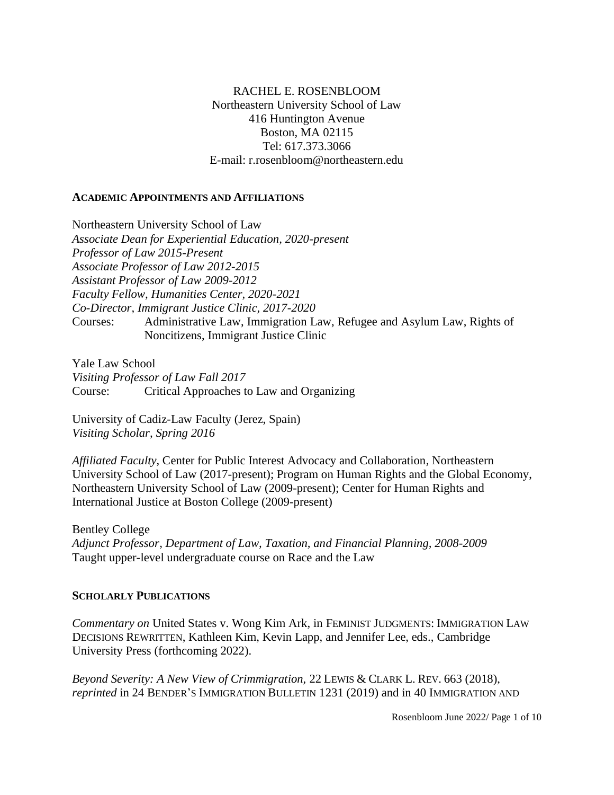## RACHEL E. ROSENBLOOM Northeastern University School of Law 416 Huntington Avenue Boston, MA 02115 Tel: 617.373.3066 E-mail: r.rosenbloom@northeastern.edu

#### **ACADEMIC APPOINTMENTS AND AFFILIATIONS**

Northeastern University School of Law *Associate Dean for Experiential Education, 2020-present Professor of Law 2015-Present Associate Professor of Law 2012-2015 Assistant Professor of Law 2009-2012 Faculty Fellow, Humanities Center, 2020-2021 Co-Director, Immigrant Justice Clinic, 2017-2020* Courses: Administrative Law, Immigration Law, Refugee and Asylum Law, Rights of Noncitizens, Immigrant Justice Clinic

Yale Law School *Visiting Professor of Law Fall 2017* Course: Critical Approaches to Law and Organizing

University of Cadiz-Law Faculty (Jerez, Spain) *Visiting Scholar, Spring 2016*

*Affiliated Faculty*, Center for Public Interest Advocacy and Collaboration*,* Northeastern University School of Law (2017-present); Program on Human Rights and the Global Economy, Northeastern University School of Law (2009-present); Center for Human Rights and International Justice at Boston College (2009-present)

Bentley College *Adjunct Professor, Department of Law, Taxation, and Financial Planning, 2008-2009* Taught upper-level undergraduate course on Race and the Law

#### **SCHOLARLY PUBLICATIONS**

*Commentary on* United States v. Wong Kim Ark*,* in FEMINIST JUDGMENTS: IMMIGRATION LAW DECISIONS REWRITTEN, Kathleen Kim, Kevin Lapp, and Jennifer Lee, eds., Cambridge University Press (forthcoming 2022).

*Beyond Severity: A New View of Crimmigration,* 22 LEWIS & CLARK L. REV. 663 (2018), *reprinted* in 24 BENDER'S IMMIGRATION BULLETIN 1231 (2019) and in 40 IMMIGRATION AND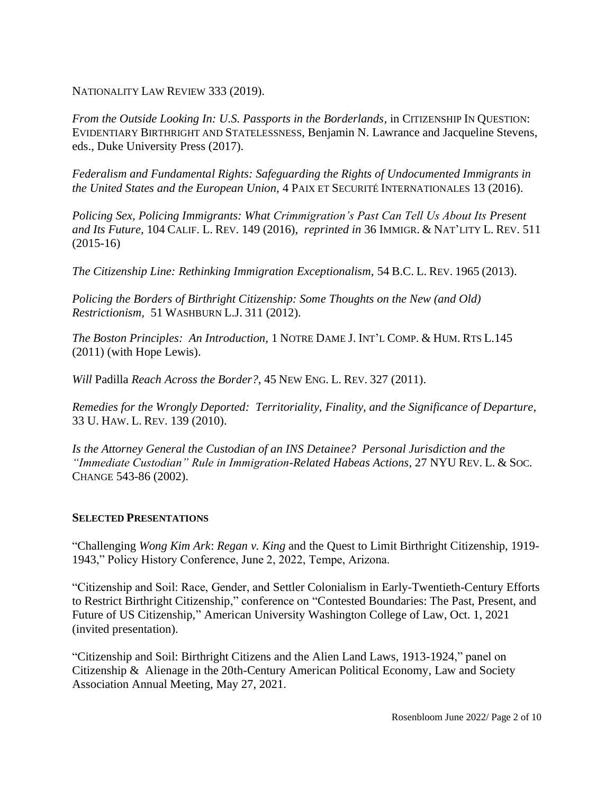NATIONALITY LAW REVIEW 333 (2019).

*From the Outside Looking In: U.S. Passports in the Borderlands, in CITIZENSHIP IN QUESTION:* EVIDENTIARY BIRTHRIGHT AND STATELESSNESS, Benjamin N. Lawrance and Jacqueline Stevens, eds., Duke University Press (2017).

*Federalism and Fundamental Rights: Safeguarding the Rights of Undocumented Immigrants in the United States and the European Union,* 4 PAIX ET SECURITÉ INTERNATIONALES 13 (2016).

*Policing Sex, Policing Immigrants: What Crimmigration's Past Can Tell Us About Its Present and Its Future,* 104 CALIF. L. REV. 149 (2016), *reprinted in* 36 IMMIGR. & NAT'LITY L. REV. 511 (2015-16)

*The Citizenship Line: Rethinking Immigration Exceptionalism,* 54 B.C. L. REV. 1965 (2013).

*Policing the Borders of Birthright Citizenship: Some Thoughts on the New (and Old) Restrictionism,* 51 WASHBURN L.J. 311 (2012).

*The Boston Principles: An Introduction,* 1 NOTRE DAME J. INT'L COMP. & HUM. RTS L.145 (2011) (with Hope Lewis).

*Will* Padilla *Reach Across the Border?*, 45 NEW ENG. L. REV. 327 (2011).

*Remedies for the Wrongly Deported: Territoriality, Finality, and the Significance of Departure*, 33 U. HAW. L. REV. 139 (2010).

*Is the Attorney General the Custodian of an INS Detainee? Personal Jurisdiction and the "Immediate Custodian" Rule in Immigration-Related Habeas Actions*, 27 NYU REV. L. & SOC. CHANGE 543-86 (2002).

## **SELECTED PRESENTATIONS**

"Challenging *Wong Kim Ark*: *Regan v. King* and the Quest to Limit Birthright Citizenship, 1919- 1943," Policy History Conference, June 2, 2022, Tempe, Arizona.

"Citizenship and Soil: Race, Gender, and Settler Colonialism in Early-Twentieth-Century Efforts to Restrict Birthright Citizenship," conference on "Contested Boundaries: The Past, Present, and Future of US Citizenship," American University Washington College of Law, Oct. 1, 2021 (invited presentation).

"Citizenship and Soil: Birthright Citizens and the Alien Land Laws, 1913-1924," panel on Citizenship & Alienage in the 20th-Century American Political Economy, Law and Society Association Annual Meeting, May 27, 2021.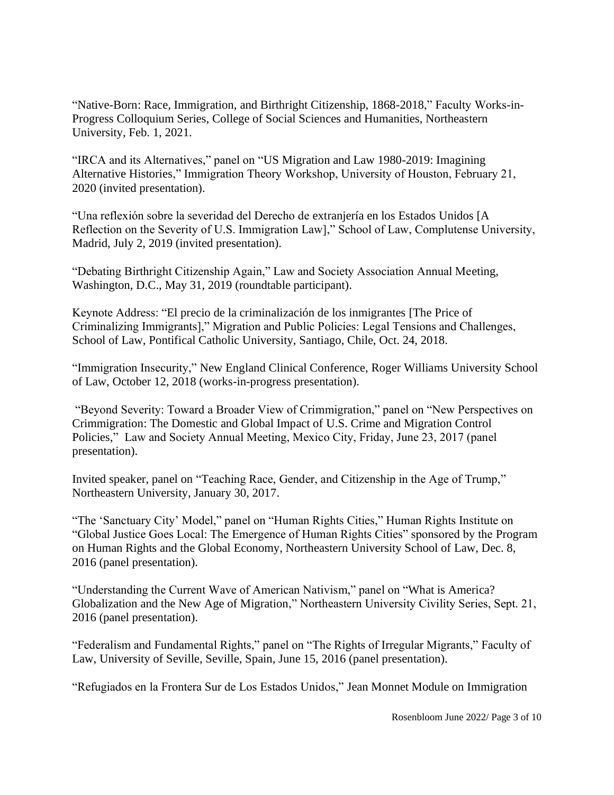"Native-Born: Race, Immigration, and Birthright Citizenship, 1868-2018," Faculty Works-in-Progress Colloquium Series, College of Social Sciences and Humanities, Northeastern University, Feb. 1, 2021.

"IRCA and its Alternatives," panel on "US Migration and Law 1980-2019: Imagining Alternative Histories," Immigration Theory Workshop, University of Houston, February 21, 2020 (invited presentation).

"Una reflexión sobre la severidad del Derecho de extranjería en los Estados Unidos [A Reflection on the Severity of U.S. Immigration Law]," School of Law, Complutense University, Madrid, July 2, 2019 (invited presentation).

"Debating Birthright Citizenship Again," Law and Society Association Annual Meeting, Washington, D.C., May 31, 2019 (roundtable participant).

Keynote Address: "El precio de la criminalización de los inmigrantes [The Price of Criminalizing Immigrants]," Migration and Public Policies: Legal Tensions and Challenges, School of Law, Pontifical Catholic University, Santiago, Chile, Oct. 24, 2018.

"Immigration Insecurity," New England Clinical Conference, Roger Williams University School of Law, October 12, 2018 (works-in-progress presentation).

"Beyond Severity: Toward a Broader View of Crimmigration," panel on "New Perspectives on Crimmigration: The Domestic and Global Impact of U.S. Crime and Migration Control Policies," Law and Society Annual Meeting, Mexico City, Friday, June 23, 2017 (panel presentation).

Invited speaker, panel on "Teaching Race, Gender, and Citizenship in the Age of Trump," Northeastern University, January 30, 2017.

"The 'Sanctuary City' Model," panel on "Human Rights Cities," Human Rights Institute on "Global Justice Goes Local: The Emergence of Human Rights Cities" sponsored by the Program on Human Rights and the Global Economy, Northeastern University School of Law, Dec. 8, 2016 (panel presentation).

"Understanding the Current Wave of American Nativism," panel on "What is America? Globalization and the New Age of Migration," Northeastern University Civility Series, Sept. 21, 2016 (panel presentation).

"Federalism and Fundamental Rights," panel on "The Rights of Irregular Migrants," Faculty of Law, University of Seville, Seville, Spain, June 15, 2016 (panel presentation).

"Refugiados en la Frontera Sur de Los Estados Unidos," Jean Monnet Module on Immigration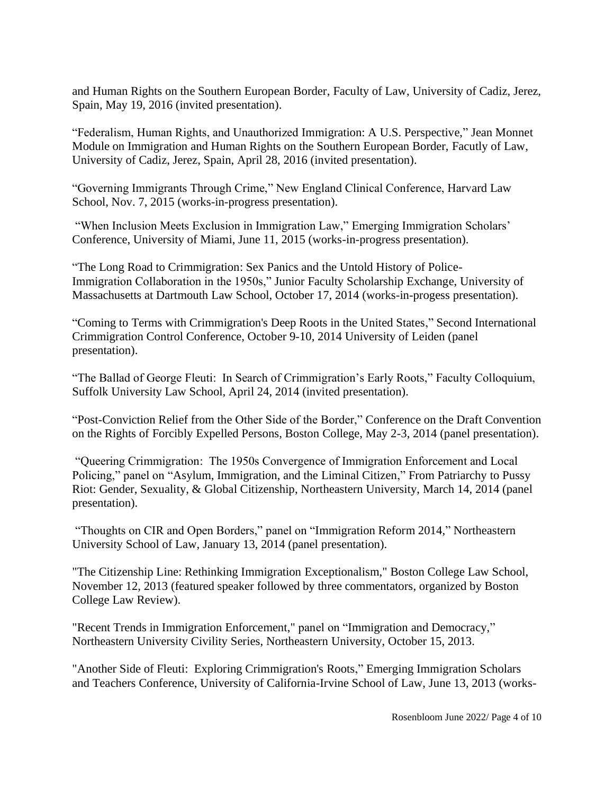and Human Rights on the Southern European Border, Faculty of Law, University of Cadiz, Jerez, Spain, May 19, 2016 (invited presentation).

"Federalism, Human Rights, and Unauthorized Immigration: A U.S. Perspective," Jean Monnet Module on Immigration and Human Rights on the Southern European Border, Facutly of Law, University of Cadiz, Jerez, Spain, April 28, 2016 (invited presentation).

"Governing Immigrants Through Crime," New England Clinical Conference, Harvard Law School, Nov. 7, 2015 (works-in-progress presentation).

"When Inclusion Meets Exclusion in Immigration Law," Emerging Immigration Scholars' Conference, University of Miami, June 11, 2015 (works-in-progress presentation).

"The Long Road to Crimmigration: Sex Panics and the Untold History of Police-Immigration Collaboration in the 1950s," Junior Faculty Scholarship Exchange, University of Massachusetts at Dartmouth Law School, October 17, 2014 (works-in-progess presentation).

"Coming to Terms with Crimmigration's Deep Roots in the United States," Second International Crimmigration Control Conference, October 9-10, 2014 University of Leiden (panel presentation).

"The Ballad of George Fleuti: In Search of Crimmigration's Early Roots," Faculty Colloquium, Suffolk University Law School, April 24, 2014 (invited presentation).

"Post-Conviction Relief from the Other Side of the Border," Conference on the Draft Convention on the Rights of Forcibly Expelled Persons, Boston College, May 2-3, 2014 (panel presentation).

"Queering Crimmigration: The 1950s Convergence of Immigration Enforcement and Local Policing," panel on "Asylum, Immigration, and the Liminal Citizen," From Patriarchy to Pussy Riot: Gender, Sexuality, & Global Citizenship, Northeastern University, March 14, 2014 (panel presentation).

"Thoughts on CIR and Open Borders," panel on "Immigration Reform 2014," Northeastern University School of Law, January 13, 2014 (panel presentation).

"The Citizenship Line: Rethinking Immigration Exceptionalism," Boston College Law School, November 12, 2013 (featured speaker followed by three commentators, organized by Boston College Law Review).

"Recent Trends in Immigration Enforcement," panel on "Immigration and Democracy," Northeastern University Civility Series, Northeastern University, October 15, 2013.

"Another Side of Fleuti: Exploring Crimmigration's Roots," Emerging Immigration Scholars and Teachers Conference, University of California-Irvine School of Law, June 13, 2013 (works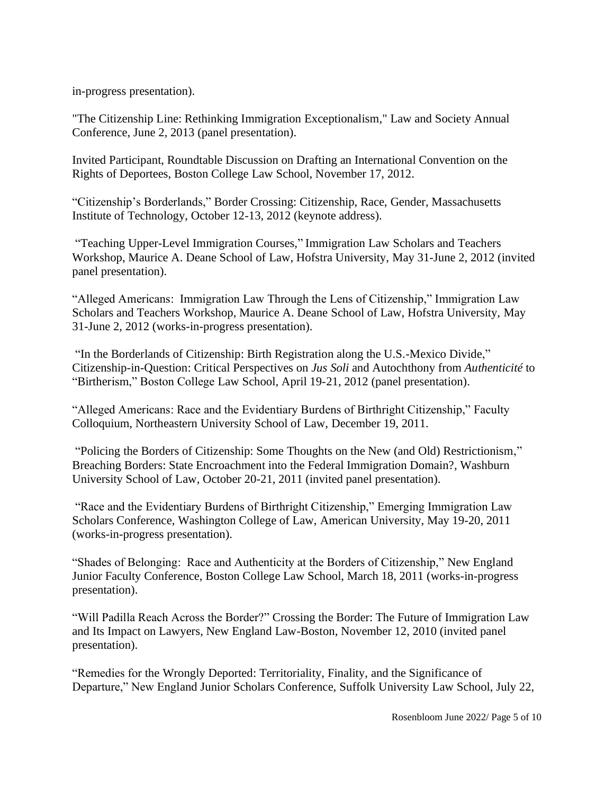in-progress presentation).

"The Citizenship Line: Rethinking Immigration Exceptionalism," Law and Society Annual Conference, June 2, 2013 (panel presentation).

Invited Participant, Roundtable Discussion on Drafting an International Convention on the Rights of Deportees, Boston College Law School, November 17, 2012.

"Citizenship's Borderlands," Border Crossing: Citizenship, Race, Gender, Massachusetts Institute of Technology, October 12-13, 2012 (keynote address).

"Teaching Upper-Level Immigration Courses," Immigration Law Scholars and Teachers Workshop, Maurice A. Deane School of Law, Hofstra University, May 31-June 2, 2012 (invited panel presentation).

"Alleged Americans: Immigration Law Through the Lens of Citizenship," Immigration Law Scholars and Teachers Workshop, Maurice A. Deane School of Law, Hofstra University, May 31-June 2, 2012 (works-in-progress presentation).

"In the Borderlands of Citizenship: Birth Registration along the U.S.-Mexico Divide," Citizenship-in-Question: Critical Perspectives on *Jus Soli* and Autochthony from *Authenticité* to "Birtherism," Boston College Law School, April 19-21, 2012 (panel presentation).

"Alleged Americans: Race and the Evidentiary Burdens of Birthright Citizenship," Faculty Colloquium, Northeastern University School of Law, December 19, 2011.

"Policing the Borders of Citizenship: Some Thoughts on the New (and Old) Restrictionism," Breaching Borders: State Encroachment into the Federal Immigration Domain?, Washburn University School of Law, October 20-21, 2011 (invited panel presentation).

"Race and the Evidentiary Burdens of Birthright Citizenship," Emerging Immigration Law Scholars Conference, Washington College of Law, American University, May 19-20, 2011 (works-in-progress presentation).

"Shades of Belonging: Race and Authenticity at the Borders of Citizenship," New England Junior Faculty Conference, Boston College Law School, March 18, 2011 (works-in-progress presentation).

"Will Padilla Reach Across the Border?" Crossing the Border: The Future of Immigration Law and Its Impact on Lawyers, New England Law-Boston, November 12, 2010 (invited panel presentation).

"Remedies for the Wrongly Deported: Territoriality, Finality, and the Significance of Departure," New England Junior Scholars Conference, Suffolk University Law School, July 22,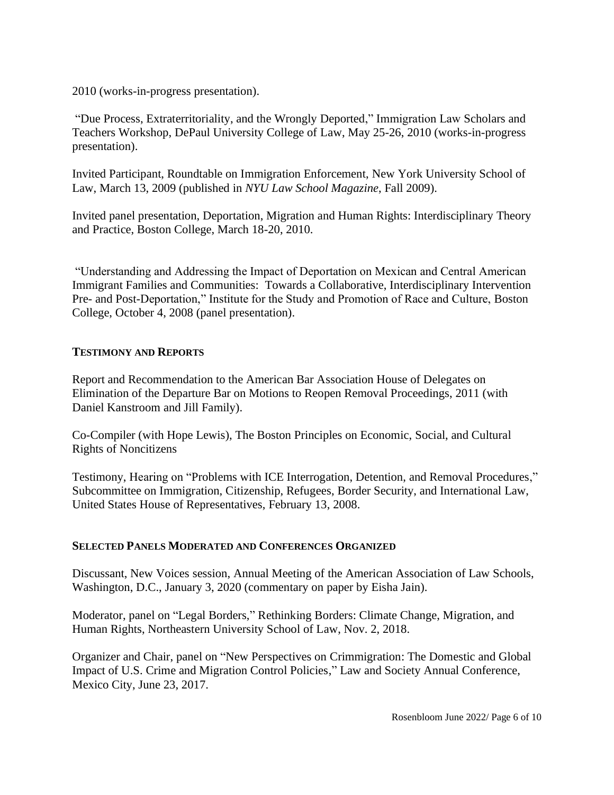2010 (works-in-progress presentation).

"Due Process, Extraterritoriality, and the Wrongly Deported," Immigration Law Scholars and Teachers Workshop, DePaul University College of Law, May 25-26, 2010 (works-in-progress presentation).

Invited Participant, Roundtable on Immigration Enforcement, New York University School of Law, March 13, 2009 (published in *NYU Law School Magazine*, Fall 2009).

Invited panel presentation, Deportation, Migration and Human Rights: Interdisciplinary Theory and Practice, Boston College, March 18-20, 2010.

"Understanding and Addressing the Impact of Deportation on Mexican and Central American Immigrant Families and Communities: Towards a Collaborative, Interdisciplinary Intervention Pre- and Post-Deportation," Institute for the Study and Promotion of Race and Culture, Boston College, October 4, 2008 (panel presentation).

## **TESTIMONY AND REPORTS**

Report and Recommendation to the American Bar Association House of Delegates on Elimination of the Departure Bar on Motions to Reopen Removal Proceedings, 2011 (with Daniel Kanstroom and Jill Family).

Co-Compiler (with Hope Lewis), The Boston Principles on Economic, Social, and Cultural Rights of Noncitizens

Testimony, Hearing on "Problems with ICE Interrogation, Detention, and Removal Procedures," Subcommittee on Immigration, Citizenship, Refugees, Border Security, and International Law, United States House of Representatives, February 13, 2008.

## **SELECTED PANELS MODERATED AND CONFERENCES ORGANIZED**

Discussant, New Voices session, Annual Meeting of the American Association of Law Schools, Washington, D.C., January 3, 2020 (commentary on paper by Eisha Jain).

Moderator, panel on "Legal Borders," Rethinking Borders: Climate Change, Migration, and Human Rights, Northeastern University School of Law, Nov. 2, 2018.

Organizer and Chair, panel on "New Perspectives on Crimmigration: The Domestic and Global Impact of U.S. Crime and Migration Control Policies," Law and Society Annual Conference, Mexico City, June 23, 2017.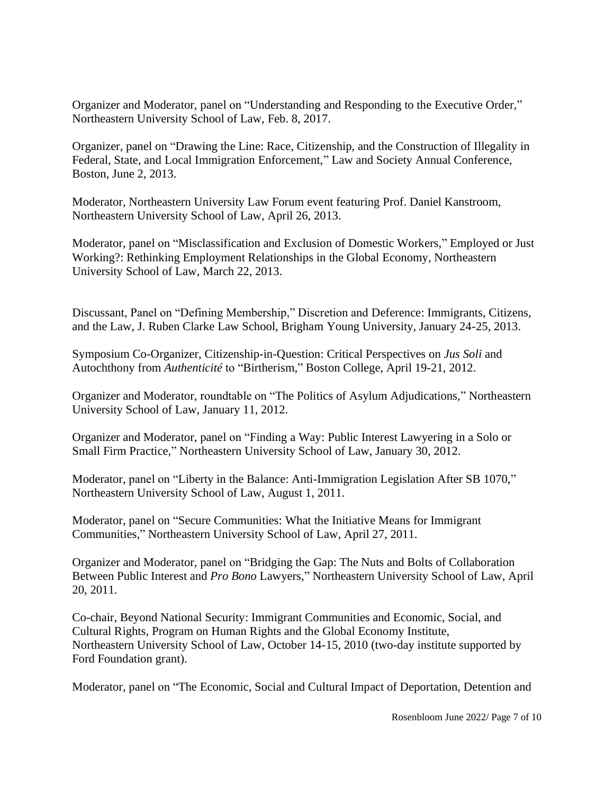Organizer and Moderator, panel on "Understanding and Responding to the Executive Order," Northeastern University School of Law, Feb. 8, 2017.

Organizer, panel on "Drawing the Line: Race, Citizenship, and the Construction of Illegality in Federal, State, and Local Immigration Enforcement," Law and Society Annual Conference, Boston, June 2, 2013.

Moderator, Northeastern University Law Forum event featuring Prof. Daniel Kanstroom, Northeastern University School of Law, April 26, 2013.

Moderator, panel on "Misclassification and Exclusion of Domestic Workers," Employed or Just Working?: Rethinking Employment Relationships in the Global Economy, Northeastern University School of Law, March 22, 2013.

Discussant, Panel on "Defining Membership," Discretion and Deference: Immigrants, Citizens, and the Law, J. Ruben Clarke Law School, Brigham Young University, January 24-25, 2013.

Symposium Co-Organizer, Citizenship-in-Question: Critical Perspectives on *Jus Soli* and Autochthony from *Authenticité* to "Birtherism," Boston College, April 19-21, 2012.

Organizer and Moderator, roundtable on "The Politics of Asylum Adjudications," Northeastern University School of Law, January 11, 2012.

Organizer and Moderator, panel on "Finding a Way: Public Interest Lawyering in a Solo or Small Firm Practice," Northeastern University School of Law, January 30, 2012.

Moderator, panel on "Liberty in the Balance: Anti-Immigration Legislation After SB 1070," Northeastern University School of Law, August 1, 2011.

Moderator, panel on "Secure Communities: What the Initiative Means for Immigrant Communities," Northeastern University School of Law, April 27, 2011.

Organizer and Moderator, panel on "Bridging the Gap: The Nuts and Bolts of Collaboration Between Public Interest and *Pro Bono* Lawyers," Northeastern University School of Law, April 20, 2011.

Co-chair, Beyond National Security: Immigrant Communities and Economic, Social, and Cultural Rights, Program on Human Rights and the Global Economy Institute, Northeastern University School of Law, October 14-15, 2010 (two-day institute supported by Ford Foundation grant).

Moderator, panel on "The Economic, Social and Cultural Impact of Deportation, Detention and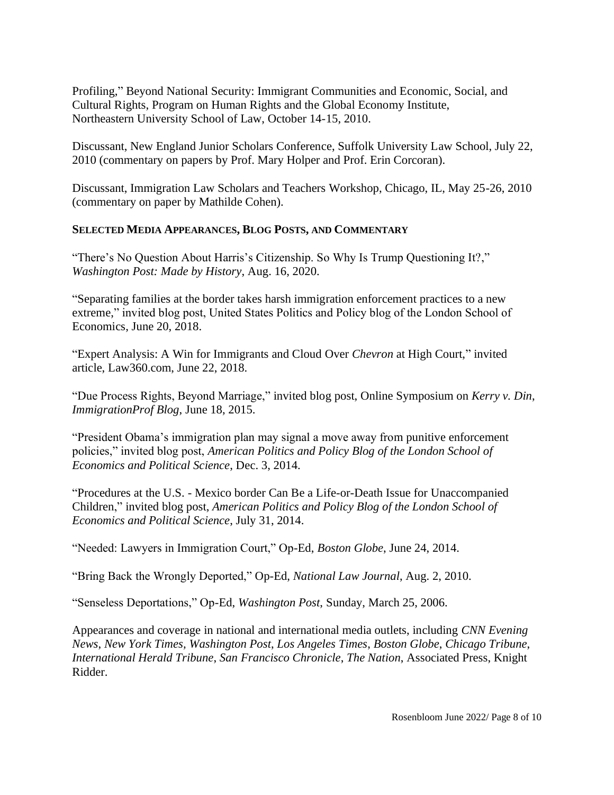Profiling," Beyond National Security: Immigrant Communities and Economic, Social, and Cultural Rights, Program on Human Rights and the Global Economy Institute, Northeastern University School of Law, October 14-15, 2010.

Discussant, New England Junior Scholars Conference, Suffolk University Law School, July 22, 2010 (commentary on papers by Prof. Mary Holper and Prof. Erin Corcoran).

Discussant, Immigration Law Scholars and Teachers Workshop, Chicago, IL, May 25-26, 2010 (commentary on paper by Mathilde Cohen).

# **SELECTED MEDIA APPEARANCES, BLOG POSTS, AND COMMENTARY**

"There's No Question About Harris's Citizenship. So Why Is Trump Questioning It?," *Washington Post: Made by History*, Aug. 16, 2020.

"Separating families at the border takes harsh immigration enforcement practices to a new extreme," invited blog post, United States Politics and Policy blog of the London School of Economics, June 20, 2018.

"Expert Analysis: A Win for Immigrants and Cloud Over *Chevron* at High Court," invited article, Law360.com, June 22, 2018.

"Due Process Rights, Beyond Marriage," invited blog post, Online Symposium on *Kerry v. Din*, *ImmigrationProf Blog*, June 18, 2015.

"President Obama's immigration plan may signal a move away from punitive enforcement policies," invited blog post, *American Politics and Policy Blog of the London School of Economics and Political Science*, Dec. 3, 2014.

"Procedures at the U.S. - Mexico border Can Be a Life-or-Death Issue for Unaccompanied Children," invited blog post, *American Politics and Policy Blog of the London School of Economics and Political Science*, July 31, 2014.

"Needed: Lawyers in Immigration Court," Op-Ed, *Boston Globe*, June 24, 2014.

"Bring Back the Wrongly Deported," Op-Ed, *National Law Journal*, Aug. 2, 2010.

"Senseless Deportations," Op-Ed, *Washington Post*, Sunday, March 25, 2006.

Appearances and coverage in national and international media outlets, including *CNN Evening News*, *New York Times, Washington Post*, *Los Angeles Times*, *Boston Globe*, *Chicago Tribune*, *International Herald Tribune*, *San Francisco Chronicle*, *The Nation*, Associated Press, Knight Ridder.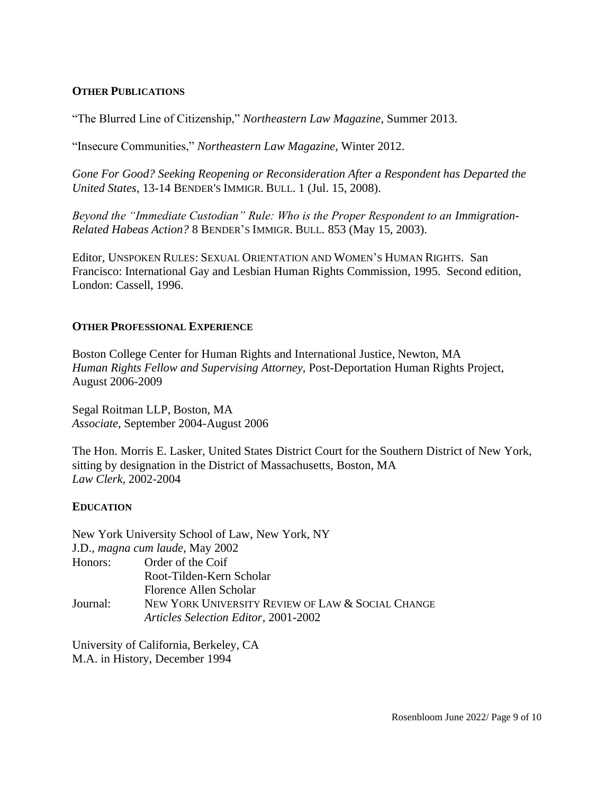## **OTHER PUBLICATIONS**

"The Blurred Line of Citizenship," *Northeastern Law Magazine*, Summer 2013.

"Insecure Communities," *Northeastern Law Magazine*, Winter 2012.

*Gone For Good? Seeking Reopening or Reconsideration After a Respondent has Departed the United States,* 13-14 BENDER'S IMMIGR. BULL. 1 (Jul. 15, 2008).

*Beyond the "Immediate Custodian" Rule: Who is the Proper Respondent to an Immigration-Related Habeas Action?* 8 BENDER'S IMMIGR. BULL. 853 (May 15, 2003).

Editor, UNSPOKEN RULES: SEXUAL ORIENTATION AND WOMEN'S HUMAN RIGHTS. San Francisco: International Gay and Lesbian Human Rights Commission, 1995. Second edition, London: Cassell, 1996.

# **OTHER PROFESSIONAL EXPERIENCE**

Boston College Center for Human Rights and International Justice, Newton, MA *Human Rights Fellow and Supervising Attorney,* Post-Deportation Human Rights Project, August 2006-2009

Segal Roitman LLP, Boston, MA *Associate*, September 2004-August 2006

The Hon. Morris E. Lasker, United States District Court for the Southern District of New York, sitting by designation in the District of Massachusetts, Boston, MA *Law Clerk,* 2002-2004

## **EDUCATION**

|          | New York University School of Law, New York, NY   |
|----------|---------------------------------------------------|
|          | J.D., magna cum laude, May 2002                   |
|          | Honors: Order of the Coif                         |
|          | Root-Tilden-Kern Scholar                          |
|          | Florence Allen Scholar                            |
| Journal: | NEW YORK UNIVERSITY REVIEW OF LAW & SOCIAL CHANGE |
|          | Articles Selection Editor, 2001-2002              |

University of California, Berkeley, CA M.A. in History, December 1994